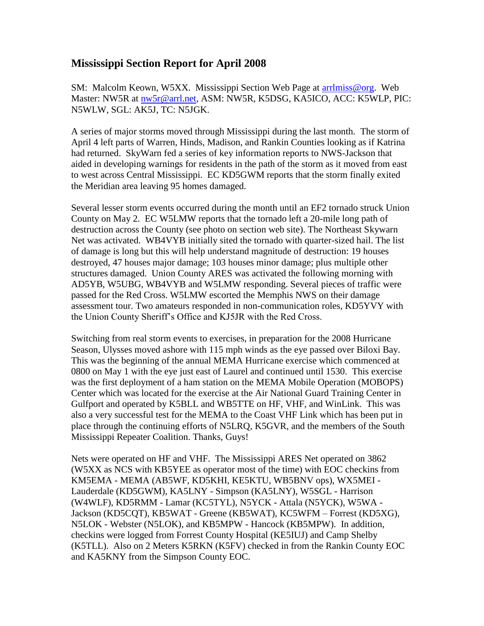## **Mississippi Section Report for April 2008**

SM: Malcolm Keown, W5XX. Mississippi Section Web Page at arrilmiss@org. Web Master: NW5R at [nw5r@arrl.net,](mailto:nw5r@arrl.net) ASM: NW5R, K5DSG, KA5ICO, ACC: K5WLP, PIC: N5WLW, SGL: AK5J, TC: N5JGK.

A series of major storms moved through Mississippi during the last month. The storm of April 4 left parts of Warren, Hinds, Madison, and Rankin Counties looking as if Katrina had returned. SkyWarn fed a series of key information reports to NWS-Jackson that aided in developing warnings for residents in the path of the storm as it moved from east to west across Central Mississippi. EC KD5GWM reports that the storm finally exited the Meridian area leaving 95 homes damaged.

Several lesser storm events occurred during the month until an EF2 tornado struck Union County on May 2. EC W5LMW reports that the tornado left a 20-mile long path of destruction across the County (see photo on section web site). The Northeast Skywarn Net was activated. WB4VYB initially sited the tornado with quarter-sized hail. The list of damage is long but this will help understand magnitude of destruction: 19 houses destroyed, 47 houses major damage; 103 houses minor damage; plus multiple other structures damaged. Union County ARES was activated the following morning with AD5YB, W5UBG, WB4VYB and W5LMW responding. Several pieces of traffic were passed for the Red Cross. W5LMW escorted the Memphis NWS on their damage assessment tour. Two amateurs responded in non-communication roles, KD5YVY with the Union County Sheriff's Office and KJ5JR with the Red Cross.

Switching from real storm events to exercises, in preparation for the 2008 Hurricane Season, Ulysses moved ashore with 115 mph winds as the eye passed over Biloxi Bay. This was the beginning of the annual MEMA Hurricane exercise which commenced at 0800 on May 1 with the eye just east of Laurel and continued until 1530. This exercise was the first deployment of a ham station on the MEMA Mobile Operation (MOBOPS) Center which was located for the exercise at the Air National Guard Training Center in Gulfport and operated by K5BLL and WB5TTE on HF, VHF, and WinLink. This was also a very successful test for the MEMA to the Coast VHF Link which has been put in place through the continuing efforts of N5LRQ, K5GVR, and the members of the South Mississippi Repeater Coalition. Thanks, Guys!

Nets were operated on HF and VHF. The Mississippi ARES Net operated on 3862 (W5XX as NCS with KB5YEE as operator most of the time) with EOC checkins from KM5EMA - MEMA (AB5WF, KD5KHI, KE5KTU, WB5BNV ops), WX5MEI - Lauderdale (KD5GWM), KA5LNY - Simpson (KA5LNY), W5SGL - Harrison (W4WLF), KD5RMM - Lamar (KC5TYL), N5YCK - Attala (N5YCK), W5WA - Jackson (KD5CQT), KB5WAT - Greene (KB5WAT), KC5WFM – Forrest (KD5XG), N5LOK - Webster (N5LOK), and KB5MPW - Hancock (KB5MPW). In addition, checkins were logged from Forrest County Hospital (KE5IUJ) and Camp Shelby (K5TLL). Also on 2 Meters K5RKN (K5FV) checked in from the Rankin County EOC and KA5KNY from the Simpson County EOC.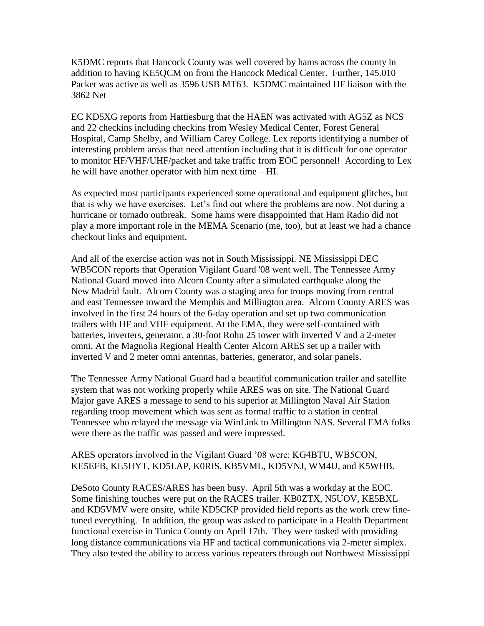K5DMC reports that Hancock County was well covered by hams across the county in addition to having KE5QCM on from the Hancock Medical Center. Further, 145.010 Packet was active as well as 3596 USB MT63. K5DMC maintained HF liaison with the 3862 Net

EC KD5XG reports from Hattiesburg that the HAEN was activated with AG5Z as NCS and 22 checkins including checkins from Wesley Medical Center, Forest General Hospital, Camp Shelby, and William Carey College. Lex reports identifying a number of interesting problem areas that need attention including that it is difficult for one operator to monitor HF/VHF/UHF/packet and take traffic from EOC personnel! According to Lex he will have another operator with him next time – HI.

As expected most participants experienced some operational and equipment glitches, but that is why we have exercises. Let's find out where the problems are now. Not during a hurricane or tornado outbreak. Some hams were disappointed that Ham Radio did not play a more important role in the MEMA Scenario (me, too), but at least we had a chance checkout links and equipment.

And all of the exercise action was not in South Mississippi. NE Mississippi DEC WB5CON reports that Operation Vigilant Guard '08 went well. The Tennessee Army National Guard moved into Alcorn County after a simulated earthquake along the New Madrid fault. Alcorn County was a staging area for troops moving from central and east Tennessee toward the Memphis and Millington area. Alcorn County ARES was involved in the first 24 hours of the 6-day operation and set up two communication trailers with HF and VHF equipment. At the EMA, they were self-contained with batteries, inverters, generator, a 30-foot Rohn 25 tower with inverted V and a 2-meter omni. At the Magnolia Regional Health Center Alcorn ARES set up a trailer with inverted V and 2 meter omni antennas, batteries, generator, and solar panels.

The Tennessee Army National Guard had a beautiful communication trailer and satellite system that was not working properly while ARES was on site. The National Guard Major gave ARES a message to send to his superior at Millington Naval Air Station regarding troop movement which was sent as formal traffic to a station in central Tennessee who relayed the message via WinLink to Millington NAS. Several EMA folks were there as the traffic was passed and were impressed.

ARES operators involved in the Vigilant Guard '08 were: KG4BTU, WB5CON, KE5EFB, KE5HYT, KD5LAP, K0RIS, KB5VML, KD5VNJ, WM4U, and K5WHB.

DeSoto County RACES/ARES has been busy. April 5th was a workday at the EOC. Some finishing touches were put on the RACES trailer. KB0ZTX, N5UOV, KE5BXL and KD5VMV were onsite, while KD5CKP provided field reports as the work crew finetuned everything. In addition, the group was asked to participate in a Health Department functional exercise in Tunica County on April 17th. They were tasked with providing long distance communications via HF and tactical communications via 2-meter simplex. They also tested the ability to access various repeaters through out Northwest Mississippi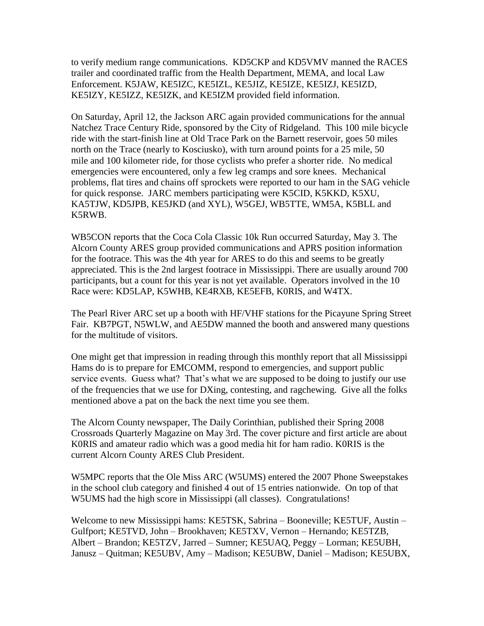to verify medium range communications. KD5CKP and KD5VMV manned the RACES trailer and coordinated traffic from the Health Department, MEMA, and local Law Enforcement. K5JAW, KE5IZC, KE5IZL, KE5JIZ, KE5IZE, KE5IZJ, KE5IZD, KE5IZY, KE5IZZ, KE5IZK, and KE5IZM provided field information.

On Saturday, April 12, the Jackson ARC again provided communications for the annual Natchez Trace Century Ride, sponsored by the City of Ridgeland. This 100 mile bicycle ride with the start-finish line at Old Trace Park on the Barnett reservoir, goes 50 miles north on the Trace (nearly to Kosciusko), with turn around points for a 25 mile, 50 mile and 100 kilometer ride, for those cyclists who prefer a shorter ride. No medical emergencies were encountered, only a few leg cramps and sore knees. Mechanical problems, flat tires and chains off sprockets were reported to our ham in the SAG vehicle for quick response. JARC members participating were K5CID, K5KKD, K5XU, KA5TJW, KD5JPB, KE5JKD (and XYL), W5GEJ, WB5TTE, WM5A, K5BLL and K5RWB.

WB5CON reports that the Coca Cola Classic 10k Run occurred Saturday, May 3. The Alcorn County ARES group provided communications and APRS position information for the footrace. This was the 4th year for ARES to do this and seems to be greatly appreciated. This is the 2nd largest footrace in Mississippi. There are usually around 700 participants, but a count for this year is not yet available. Operators involved in the 10 Race were: KD5LAP, K5WHB, KE4RXB, KE5EFB, K0RIS, and W4TX.

The Pearl River ARC set up a booth with HF/VHF stations for the Picayune Spring Street Fair. KB7PGT, N5WLW, and AE5DW manned the booth and answered many questions for the multitude of visitors.

One might get that impression in reading through this monthly report that all Mississippi Hams do is to prepare for EMCOMM, respond to emergencies, and support public service events. Guess what? That's what we are supposed to be doing to justify our use of the frequencies that we use for DXing, contesting, and ragchewing. Give all the folks mentioned above a pat on the back the next time you see them.

The Alcorn County newspaper, The Daily Corinthian, published their Spring 2008 Crossroads Quarterly Magazine on May 3rd. The cover picture and first article are about K0RIS and amateur radio which was a good media hit for ham radio. K0RIS is the current Alcorn County ARES Club President.

W5MPC reports that the Ole Miss ARC (W5UMS) entered the 2007 Phone Sweepstakes in the school club category and finished 4 out of 15 entries nationwide. On top of that W5UMS had the high score in Mississippi (all classes). Congratulations!

Welcome to new Mississippi hams: KE5TSK, Sabrina – Booneville; KE5TUF, Austin – Gulfport; KE5TVD, John – Brookhaven; KE5TXV, Vernon – Hernando; KE5TZB, Albert – Brandon; KE5TZV, Jarred – Sumner; KE5UAQ, Peggy – Lorman; KE5UBH, Janusz – Quitman; KE5UBV, Amy – Madison; KE5UBW, Daniel – Madison; KE5UBX,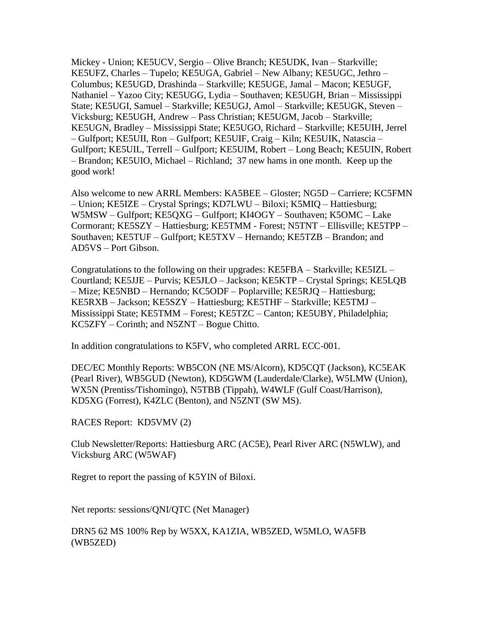Mickey - Union; KE5UCV, Sergio – Olive Branch; KE5UDK, Ivan – Starkville; KE5UFZ, Charles – Tupelo; KE5UGA, Gabriel – New Albany; KE5UGC, Jethro – Columbus; KE5UGD, Drashinda – Starkville; KE5UGE, Jamal – Macon; KE5UGF, Nathaniel – Yazoo City; KE5UGG, Lydia – Southaven; KE5UGH, Brian – Mississippi State; KE5UGI, Samuel – Starkville; KE5UGJ, Amol – Starkville; KE5UGK, Steven – Vicksburg; KE5UGH, Andrew – Pass Christian; KE5UGM, Jacob – Starkville; KE5UGN, Bradley – Mississippi State; KE5UGO, Richard – Starkville; KE5UIH, Jerrel – Gulfport; KE5UII, Ron – Gulfport; KE5UIF, Craig – Kiln; KE5UIK, Natascia – Gulfport; KE5UIL, Terrell – Gulfport; KE5UIM, Robert – Long Beach; KE5UIN, Robert – Brandon; KE5UIO, Michael – Richland; 37 new hams in one month. Keep up the good work!

Also welcome to new ARRL Members: KA5BEE – Gloster; NG5D – Carriere; KC5FMN – Union; KE5IZE – Crystal Springs; KD7LWU – Biloxi; K5MIQ – Hattiesburg; W5MSW – Gulfport; KE5QXG – Gulfport; KI4OGY – Southaven; K5OMC – Lake Cormorant; KE5SZY – Hattiesburg; KE5TMM - Forest; N5TNT – Ellisville; KE5TPP – Southaven; KE5TUF – Gulfport; KE5TXV – Hernando; KE5TZB – Brandon; and AD5VS – Port Gibson.

Congratulations to the following on their upgrades: KE5FBA – Starkville; KE5IZL – Courtland; KE5JJE – Purvis; KE5JLO – Jackson; KE5KTP – Crystal Springs; KE5LQB – Mize; KE5NBD – Hernando; KC5ODF – Poplarville; KE5RJQ – Hattiesburg; KE5RXB – Jackson; KE5SZY – Hattiesburg; KE5THF – Starkville; KE5TMJ – Mississippi State; KE5TMM – Forest; KE5TZC – Canton; KE5UBY, Philadelphia; KC5ZFY – Corinth; and N5ZNT – Bogue Chitto.

In addition congratulations to K5FV, who completed ARRL ECC-001.

DEC/EC Monthly Reports: WB5CON (NE MS/Alcorn), KD5CQT (Jackson), KC5EAK (Pearl River), WB5GUD (Newton), KD5GWM (Lauderdale/Clarke), W5LMW (Union), WX5N (Prentiss/Tishomingo), N5TBB (Tippah), W4WLF (Gulf Coast/Harrison), KD5XG (Forrest), K4ZLC (Benton), and N5ZNT (SW MS).

RACES Report: KD5VMV (2)

Club Newsletter/Reports: Hattiesburg ARC (AC5E), Pearl River ARC (N5WLW), and Vicksburg ARC (W5WAF)

Regret to report the passing of K5YIN of Biloxi.

Net reports: sessions/QNI/QTC (Net Manager)

DRN5 62 MS 100% Rep by W5XX, KA1ZIA, WB5ZED, W5MLO, WA5FB (WB5ZED)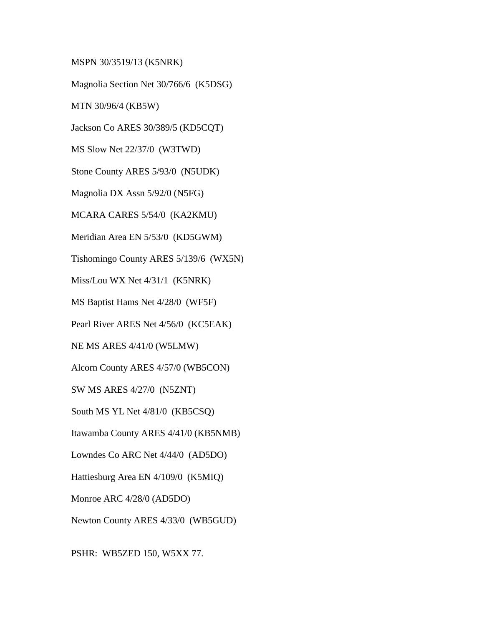MSPN 30/3519/13 (K5NRK)

Magnolia Section Net 30/766/6 (K5DSG)

MTN 30/96/4 (KB5W)

Jackson Co ARES 30/389/5 (KD5CQT)

MS Slow Net 22/37/0 (W3TWD)

Stone County ARES 5/93/0 (N5UDK)

Magnolia DX Assn 5/92/0 (N5FG)

MCARA CARES 5/54/0 (KA2KMU)

Meridian Area EN 5/53/0 (KD5GWM)

Tishomingo County ARES 5/139/6 (WX5N)

Miss/Lou WX Net 4/31/1 (K5NRK)

MS Baptist Hams Net 4/28/0 (WF5F)

Pearl River ARES Net 4/56/0 (KC5EAK)

NE MS ARES 4/41/0 (W5LMW)

Alcorn County ARES 4/57/0 (WB5CON)

SW MS ARES 4/27/0 (N5ZNT)

South MS YL Net 4/81/0 (KB5CSQ)

Itawamba County ARES 4/41/0 (KB5NMB)

Lowndes Co ARC Net 4/44/0 (AD5DO)

Hattiesburg Area EN 4/109/0 (K5MIQ)

Monroe ARC 4/28/0 (AD5DO)

Newton County ARES 4/33/0 (WB5GUD)

PSHR: WB5ZED 150, W5XX 77.